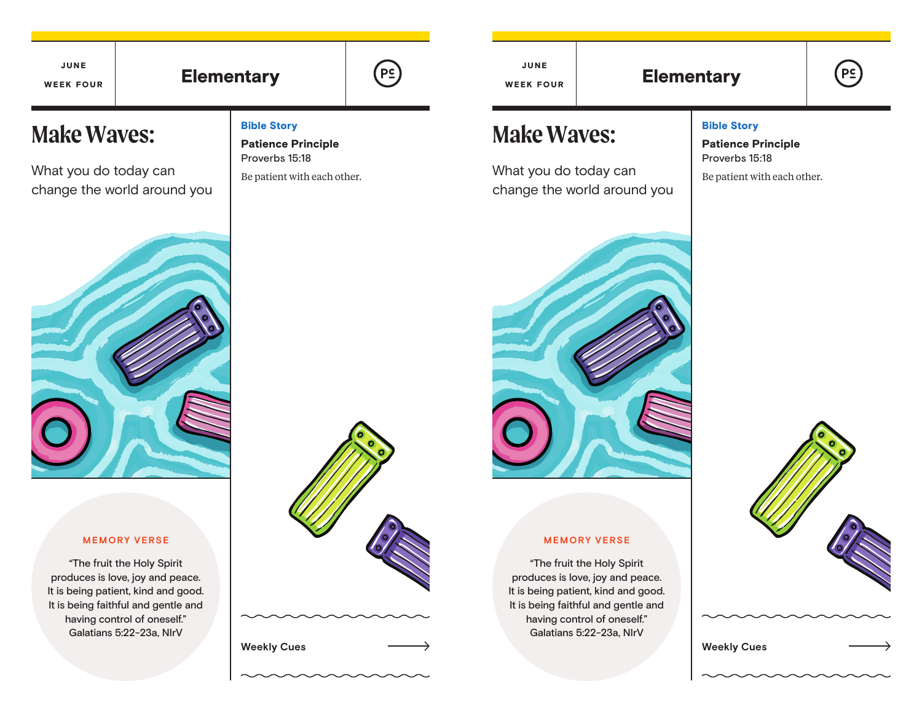# Elementary  $\left[\begin{array}{ccc} \left[\begin{array}{cc} P\subseteq\end{array}\right] & \left[\begin{array}{cc} \left[\begin{array}{cc} P\subseteq\end{array}\right] & \left[\begin{array}{cc} \left[\begin{array}{cc} \left[\begin{array}{cc} P\subseteq\end{array}\right]\right] & \left[\begin{array}{cc} \left[\begin{array}{cc} \left[\begin{array}{cc} \left[\begin{array}{cc} \left[\begin{array}{cc} \left[\begin{array}{cc} \left[\begin{array}{cc} \left[\begin{array}{cc} \left[\begin{array}{cc} \left[\begin{array}{cc} \left[\begin{array}{cc} \left[\begin{array}{cc} \left[\$ JUNE WEEK FOUR

Bible Story

Patience Principle Proverbs 15:18

Be patient with each other.

# **Make Waves:**

What you do today can change the world around you

### **MEMORY VERSE**

"The fruit the Holy Spirit produces is love, joy and peace. It is being patient, kind and good. It is being faithful and gentle and having control of oneself." Galatians 5:22-23a, NIrV



**Weekly Cues Weekly Cues**

JUNE WEEK FOUR

# **Make Waves:**

What you do today can change the world around you



**MEMORY VERSE** "The fruit the Holy Spirit produces is love, joy and peace. It is being patient, kind and good. It is being faithful and gentle and having control of oneself." Galatians 5:22-23a, NIrV

## Bible Story

Patience Principle Proverbs 15:18

Be patient with each other.

 $P<sub>2</sub>$